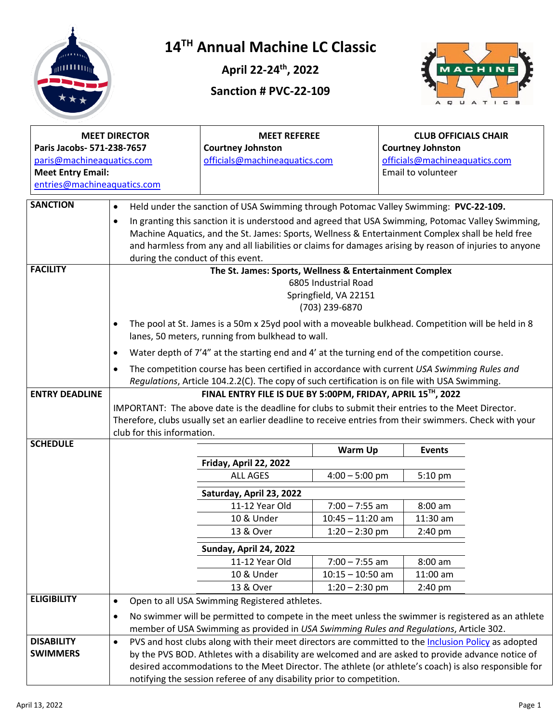

### **14TH Annual Machine LC Classic**

**April 22-24th, 2022**

**Sanction # PVC-22-109**



| <b>MEET DIRECTOR</b><br>Paris Jacobs- 571-238-7657<br>paris@machineaquatics.com<br><b>Meet Entry Email:</b><br>entries@machineaquatics.com |                                                                                                                                                                                                                                                                                                                                                                    | <b>MEET REFEREE</b><br><b>Courtney Johnston</b><br>officials@machineaquatics.com                                                                                                                                                                                                     |                    | <b>CLUB OFFICIALS CHAIR</b><br><b>Courtney Johnston</b><br>officials@machineaquatics.com<br>Email to volunteer |  |
|--------------------------------------------------------------------------------------------------------------------------------------------|--------------------------------------------------------------------------------------------------------------------------------------------------------------------------------------------------------------------------------------------------------------------------------------------------------------------------------------------------------------------|--------------------------------------------------------------------------------------------------------------------------------------------------------------------------------------------------------------------------------------------------------------------------------------|--------------------|----------------------------------------------------------------------------------------------------------------|--|
| <b>SANCTION</b>                                                                                                                            | $\bullet$<br>Held under the sanction of USA Swimming through Potomac Valley Swimming: PVC-22-109.                                                                                                                                                                                                                                                                  |                                                                                                                                                                                                                                                                                      |                    |                                                                                                                |  |
|                                                                                                                                            | In granting this sanction it is understood and agreed that USA Swimming, Potomac Valley Swimming,<br>$\bullet$<br>Machine Aquatics, and the St. James: Sports, Wellness & Entertainment Complex shall be held free<br>and harmless from any and all liabilities or claims for damages arising by reason of injuries to anyone<br>during the conduct of this event. |                                                                                                                                                                                                                                                                                      |                    |                                                                                                                |  |
| <b>FACILITY</b>                                                                                                                            | The St. James: Sports, Wellness & Entertainment Complex<br>6805 Industrial Road<br>Springfield, VA 22151<br>(703) 239-6870                                                                                                                                                                                                                                         |                                                                                                                                                                                                                                                                                      |                    |                                                                                                                |  |
|                                                                                                                                            | $\bullet$                                                                                                                                                                                                                                                                                                                                                          | The pool at St. James is a 50m x 25yd pool with a moveable bulkhead. Competition will be held in 8<br>lanes, 50 meters, running from bulkhead to wall.                                                                                                                               |                    |                                                                                                                |  |
|                                                                                                                                            | $\bullet$                                                                                                                                                                                                                                                                                                                                                          | Water depth of 7'4" at the starting end and 4' at the turning end of the competition course.                                                                                                                                                                                         |                    |                                                                                                                |  |
|                                                                                                                                            | The competition course has been certified in accordance with current USA Swimming Rules and<br>$\bullet$<br>Regulations, Article 104.2.2(C). The copy of such certification is on file with USA Swimming.                                                                                                                                                          |                                                                                                                                                                                                                                                                                      |                    |                                                                                                                |  |
| <b>ENTRY DEADLINE</b>                                                                                                                      | FINAL ENTRY FILE IS DUE BY 5:00PM, FRIDAY, APRIL 15TH, 2022<br>IMPORTANT: The above date is the deadline for clubs to submit their entries to the Meet Director.<br>Therefore, clubs usually set an earlier deadline to receive entries from their swimmers. Check with your<br>club for this information.                                                         |                                                                                                                                                                                                                                                                                      |                    |                                                                                                                |  |
| <b>SCHEDULE</b>                                                                                                                            |                                                                                                                                                                                                                                                                                                                                                                    |                                                                                                                                                                                                                                                                                      | Warm Up            | <b>Events</b>                                                                                                  |  |
|                                                                                                                                            |                                                                                                                                                                                                                                                                                                                                                                    | Friday, April 22, 2022                                                                                                                                                                                                                                                               |                    |                                                                                                                |  |
|                                                                                                                                            |                                                                                                                                                                                                                                                                                                                                                                    | <b>ALL AGES</b>                                                                                                                                                                                                                                                                      | $4:00 - 5:00$ pm   | 5:10 pm                                                                                                        |  |
|                                                                                                                                            |                                                                                                                                                                                                                                                                                                                                                                    | Saturday, April 23, 2022                                                                                                                                                                                                                                                             |                    |                                                                                                                |  |
|                                                                                                                                            |                                                                                                                                                                                                                                                                                                                                                                    | 11-12 Year Old                                                                                                                                                                                                                                                                       | $7:00 - 7:55$ am   | 8:00 am                                                                                                        |  |
|                                                                                                                                            |                                                                                                                                                                                                                                                                                                                                                                    | 10 & Under                                                                                                                                                                                                                                                                           | $10:45 - 11:20$ am | 11:30 am                                                                                                       |  |
|                                                                                                                                            |                                                                                                                                                                                                                                                                                                                                                                    | 13 & Over                                                                                                                                                                                                                                                                            | $1:20 - 2:30$ pm   | 2:40 pm                                                                                                        |  |
|                                                                                                                                            |                                                                                                                                                                                                                                                                                                                                                                    | Sunday, April 24, 2022                                                                                                                                                                                                                                                               |                    |                                                                                                                |  |
|                                                                                                                                            |                                                                                                                                                                                                                                                                                                                                                                    | 11-12 Year Old                                                                                                                                                                                                                                                                       | $7:00 - 7:55$ am   | 8:00 am                                                                                                        |  |
|                                                                                                                                            |                                                                                                                                                                                                                                                                                                                                                                    | 10 & Under                                                                                                                                                                                                                                                                           | $10:15 - 10:50$ am | $11:00$ am                                                                                                     |  |
|                                                                                                                                            |                                                                                                                                                                                                                                                                                                                                                                    | 13 & Over                                                                                                                                                                                                                                                                            | $1:20 - 2:30$ pm   | 2:40 pm                                                                                                        |  |
| <b>ELIGIBILITY</b>                                                                                                                         | $\bullet$                                                                                                                                                                                                                                                                                                                                                          | Open to all USA Swimming Registered athletes.                                                                                                                                                                                                                                        |                    |                                                                                                                |  |
|                                                                                                                                            | $\bullet$                                                                                                                                                                                                                                                                                                                                                          | No swimmer will be permitted to compete in the meet unless the swimmer is registered as an athlete                                                                                                                                                                                   |                    |                                                                                                                |  |
|                                                                                                                                            |                                                                                                                                                                                                                                                                                                                                                                    | member of USA Swimming as provided in USA Swimming Rules and Regulations, Article 302.                                                                                                                                                                                               |                    |                                                                                                                |  |
| <b>DISABILITY</b>                                                                                                                          | PVS and host clubs along with their meet directors are committed to the Inclusion Policy as adopted<br>$\bullet$                                                                                                                                                                                                                                                   |                                                                                                                                                                                                                                                                                      |                    |                                                                                                                |  |
| <b>SWIMMERS</b>                                                                                                                            |                                                                                                                                                                                                                                                                                                                                                                    | by the PVS BOD. Athletes with a disability are welcomed and are asked to provide advance notice of<br>desired accommodations to the Meet Director. The athlete (or athlete's coach) is also responsible for<br>notifying the session referee of any disability prior to competition. |                    |                                                                                                                |  |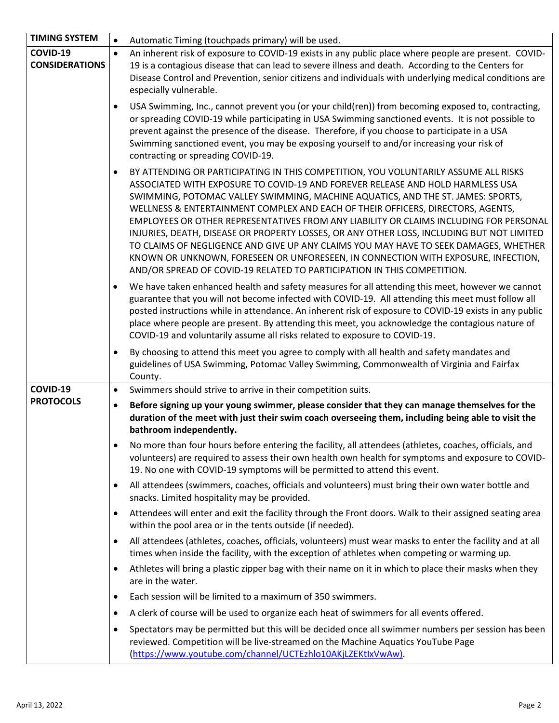| <b>TIMING SYSTEM</b>              | Automatic Timing (touchpads primary) will be used.<br>$\bullet$                                                                                                                                                                                                                                                                                                                                                                                                                                                                                                                                                                                                                                                                                                                                         |  |
|-----------------------------------|---------------------------------------------------------------------------------------------------------------------------------------------------------------------------------------------------------------------------------------------------------------------------------------------------------------------------------------------------------------------------------------------------------------------------------------------------------------------------------------------------------------------------------------------------------------------------------------------------------------------------------------------------------------------------------------------------------------------------------------------------------------------------------------------------------|--|
| COVID-19<br><b>CONSIDERATIONS</b> | An inherent risk of exposure to COVID-19 exists in any public place where people are present. COVID-<br>$\bullet$<br>19 is a contagious disease that can lead to severe illness and death. According to the Centers for<br>Disease Control and Prevention, senior citizens and individuals with underlying medical conditions are<br>especially vulnerable.                                                                                                                                                                                                                                                                                                                                                                                                                                             |  |
|                                   | USA Swimming, Inc., cannot prevent you (or your child(ren)) from becoming exposed to, contracting,<br>$\bullet$<br>or spreading COVID-19 while participating in USA Swimming sanctioned events. It is not possible to<br>prevent against the presence of the disease. Therefore, if you choose to participate in a USA<br>Swimming sanctioned event, you may be exposing yourself to and/or increasing your risk of<br>contracting or spreading COVID-19.                                                                                                                                                                                                                                                                                                                                               |  |
|                                   | BY ATTENDING OR PARTICIPATING IN THIS COMPETITION, YOU VOLUNTARILY ASSUME ALL RISKS<br>$\bullet$<br>ASSOCIATED WITH EXPOSURE TO COVID-19 AND FOREVER RELEASE AND HOLD HARMLESS USA<br>SWIMMING, POTOMAC VALLEY SWIMMING, MACHINE AQUATICS, AND THE ST. JAMES: SPORTS,<br>WELLNESS & ENTERTAINMENT COMPLEX AND EACH OF THEIR OFFICERS, DIRECTORS, AGENTS,<br>EMPLOYEES OR OTHER REPRESENTATIVES FROM ANY LIABILITY OR CLAIMS INCLUDING FOR PERSONAL<br>INJURIES, DEATH, DISEASE OR PROPERTY LOSSES, OR ANY OTHER LOSS, INCLUDING BUT NOT LIMITED<br>TO CLAIMS OF NEGLIGENCE AND GIVE UP ANY CLAIMS YOU MAY HAVE TO SEEK DAMAGES, WHETHER<br>KNOWN OR UNKNOWN, FORESEEN OR UNFORESEEN, IN CONNECTION WITH EXPOSURE, INFECTION,<br>AND/OR SPREAD OF COVID-19 RELATED TO PARTICIPATION IN THIS COMPETITION. |  |
|                                   | We have taken enhanced health and safety measures for all attending this meet, however we cannot<br>$\bullet$<br>guarantee that you will not become infected with COVID-19. All attending this meet must follow all<br>posted instructions while in attendance. An inherent risk of exposure to COVID-19 exists in any public<br>place where people are present. By attending this meet, you acknowledge the contagious nature of<br>COVID-19 and voluntarily assume all risks related to exposure to COVID-19.                                                                                                                                                                                                                                                                                         |  |
|                                   | By choosing to attend this meet you agree to comply with all health and safety mandates and<br>$\bullet$<br>guidelines of USA Swimming, Potomac Valley Swimming, Commonwealth of Virginia and Fairfax<br>County.                                                                                                                                                                                                                                                                                                                                                                                                                                                                                                                                                                                        |  |
| COVID-19                          | Swimmers should strive to arrive in their competition suits.<br>$\bullet$                                                                                                                                                                                                                                                                                                                                                                                                                                                                                                                                                                                                                                                                                                                               |  |
| <b>PROTOCOLS</b>                  | Before signing up your young swimmer, please consider that they can manage themselves for the<br>$\bullet$<br>duration of the meet with just their swim coach overseeing them, including being able to visit the<br>bathroom independently.                                                                                                                                                                                                                                                                                                                                                                                                                                                                                                                                                             |  |
|                                   | No more than four hours before entering the facility, all attendees (athletes, coaches, officials, and<br>$\bullet$<br>volunteers) are required to assess their own health own health for symptoms and exposure to COVID-<br>19. No one with COVID-19 symptoms will be permitted to attend this event.                                                                                                                                                                                                                                                                                                                                                                                                                                                                                                  |  |
|                                   | All attendees (swimmers, coaches, officials and volunteers) must bring their own water bottle and<br>$\bullet$<br>snacks. Limited hospitality may be provided.                                                                                                                                                                                                                                                                                                                                                                                                                                                                                                                                                                                                                                          |  |
|                                   | Attendees will enter and exit the facility through the Front doors. Walk to their assigned seating area<br>$\bullet$<br>within the pool area or in the tents outside (if needed).                                                                                                                                                                                                                                                                                                                                                                                                                                                                                                                                                                                                                       |  |
|                                   | All attendees (athletes, coaches, officials, volunteers) must wear masks to enter the facility and at all<br>$\bullet$<br>times when inside the facility, with the exception of athletes when competing or warming up.                                                                                                                                                                                                                                                                                                                                                                                                                                                                                                                                                                                  |  |
|                                   | Athletes will bring a plastic zipper bag with their name on it in which to place their masks when they<br>$\bullet$<br>are in the water.                                                                                                                                                                                                                                                                                                                                                                                                                                                                                                                                                                                                                                                                |  |
|                                   | Each session will be limited to a maximum of 350 swimmers.<br>$\bullet$                                                                                                                                                                                                                                                                                                                                                                                                                                                                                                                                                                                                                                                                                                                                 |  |
|                                   | A clerk of course will be used to organize each heat of swimmers for all events offered.<br>$\bullet$                                                                                                                                                                                                                                                                                                                                                                                                                                                                                                                                                                                                                                                                                                   |  |
|                                   | Spectators may be permitted but this will be decided once all swimmer numbers per session has been<br>$\bullet$<br>reviewed. Competition will be live-streamed on the Machine Aquatics YouTube Page<br>(https://www.youtube.com/channel/UCTEzhlo10AKjLZEKtlxVwAw).                                                                                                                                                                                                                                                                                                                                                                                                                                                                                                                                      |  |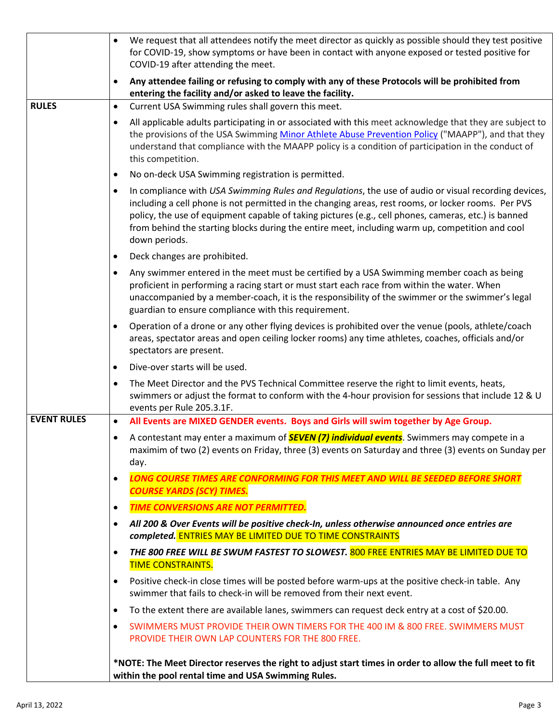|                    | We request that all attendees notify the meet director as quickly as possible should they test positive<br>for COVID-19, show symptoms or have been in contact with anyone exposed or tested positive for<br>COVID-19 after attending the meet.                                                                                                                                                                                              |
|--------------------|----------------------------------------------------------------------------------------------------------------------------------------------------------------------------------------------------------------------------------------------------------------------------------------------------------------------------------------------------------------------------------------------------------------------------------------------|
|                    | Any attendee failing or refusing to comply with any of these Protocols will be prohibited from<br>$\bullet$<br>entering the facility and/or asked to leave the facility.                                                                                                                                                                                                                                                                     |
| <b>RULES</b>       | Current USA Swimming rules shall govern this meet.<br>$\bullet$                                                                                                                                                                                                                                                                                                                                                                              |
|                    | All applicable adults participating in or associated with this meet acknowledge that they are subject to<br>٠<br>the provisions of the USA Swimming Minor Athlete Abuse Prevention Policy ("MAAPP"), and that they<br>understand that compliance with the MAAPP policy is a condition of participation in the conduct of<br>this competition.                                                                                                |
|                    | No on-deck USA Swimming registration is permitted.<br>٠                                                                                                                                                                                                                                                                                                                                                                                      |
|                    | In compliance with USA Swimming Rules and Regulations, the use of audio or visual recording devices,<br>٠<br>including a cell phone is not permitted in the changing areas, rest rooms, or locker rooms. Per PVS<br>policy, the use of equipment capable of taking pictures (e.g., cell phones, cameras, etc.) is banned<br>from behind the starting blocks during the entire meet, including warm up, competition and cool<br>down periods. |
|                    | Deck changes are prohibited.<br>$\bullet$                                                                                                                                                                                                                                                                                                                                                                                                    |
|                    | Any swimmer entered in the meet must be certified by a USA Swimming member coach as being<br>٠<br>proficient in performing a racing start or must start each race from within the water. When<br>unaccompanied by a member-coach, it is the responsibility of the swimmer or the swimmer's legal<br>guardian to ensure compliance with this requirement.                                                                                     |
|                    | Operation of a drone or any other flying devices is prohibited over the venue (pools, athlete/coach<br>$\bullet$<br>areas, spectator areas and open ceiling locker rooms) any time athletes, coaches, officials and/or<br>spectators are present.                                                                                                                                                                                            |
|                    | Dive-over starts will be used.<br>٠                                                                                                                                                                                                                                                                                                                                                                                                          |
|                    | The Meet Director and the PVS Technical Committee reserve the right to limit events, heats,<br>٠<br>swimmers or adjust the format to conform with the 4-hour provision for sessions that include 12 & U<br>events per Rule 205.3.1F.                                                                                                                                                                                                         |
| <b>EVENT RULES</b> | All Events are MIXED GENDER events. Boys and Girls will swim together by Age Group.<br>$\bullet$                                                                                                                                                                                                                                                                                                                                             |
|                    | A contestant may enter a maximum of <b>SEVEN (7) individual events</b> . Swimmers may compete in a<br>٠<br>maximim of two (2) events on Friday, three (3) events on Saturday and three (3) events on Sunday per<br>day.                                                                                                                                                                                                                      |
|                    | <b>LONG COURSE TIMES ARE CONFORMING FOR THIS MEET AND WILL BE SEEDED BEFORE SHORT</b><br>$\bullet$                                                                                                                                                                                                                                                                                                                                           |
|                    | <b>COURSE YARDS (SCY) TIMES.</b>                                                                                                                                                                                                                                                                                                                                                                                                             |
|                    | <b>TIME CONVERSIONS ARE NOT PERMITTED.</b><br>$\bullet$                                                                                                                                                                                                                                                                                                                                                                                      |
|                    | All 200 & Over Events will be positive check-In, unless otherwise announced once entries are<br>٠<br>completed. ENTRIES MAY BE LIMITED DUE TO TIME CONSTRAINTS                                                                                                                                                                                                                                                                               |
|                    | THE 800 FREE WILL BE SWUM FASTEST TO SLOWEST. 800 FREE ENTRIES MAY BE LIMITED DUE TO<br>٠<br><b>TIME CONSTRAINTS.</b>                                                                                                                                                                                                                                                                                                                        |
|                    | Positive check-in close times will be posted before warm-ups at the positive check-in table. Any<br>٠<br>swimmer that fails to check-in will be removed from their next event.                                                                                                                                                                                                                                                               |
|                    | To the extent there are available lanes, swimmers can request deck entry at a cost of \$20.00.<br>٠                                                                                                                                                                                                                                                                                                                                          |
|                    | SWIMMERS MUST PROVIDE THEIR OWN TIMERS FOR THE 400 IM & 800 FREE. SWIMMERS MUST<br>٠                                                                                                                                                                                                                                                                                                                                                         |
|                    | PROVIDE THEIR OWN LAP COUNTERS FOR THE 800 FREE.                                                                                                                                                                                                                                                                                                                                                                                             |
|                    | *NOTE: The Meet Director reserves the right to adjust start times in order to allow the full meet to fit<br>within the pool rental time and USA Swimming Rules.                                                                                                                                                                                                                                                                              |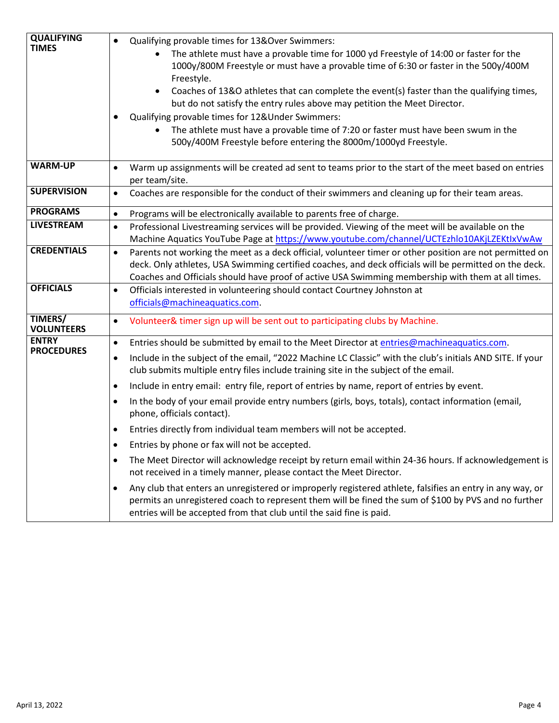| <b>QUALIFYING</b><br><b>TIMES</b>   | Qualifying provable times for 13&Over Swimmers:<br>$\bullet$<br>The athlete must have a provable time for 1000 yd Freestyle of 14:00 or faster for the<br>$\bullet$<br>1000y/800M Freestyle or must have a provable time of 6:30 or faster in the 500y/400M<br>Freestyle.<br>Coaches of 13&O athletes that can complete the event(s) faster than the qualifying times,<br>$\bullet$<br>but do not satisfy the entry rules above may petition the Meet Director.<br>Qualifying provable times for 12&Under Swimmers:<br>The athlete must have a provable time of 7:20 or faster must have been swum in the<br>500y/400M Freestyle before entering the 8000m/1000yd Freestyle. |
|-------------------------------------|------------------------------------------------------------------------------------------------------------------------------------------------------------------------------------------------------------------------------------------------------------------------------------------------------------------------------------------------------------------------------------------------------------------------------------------------------------------------------------------------------------------------------------------------------------------------------------------------------------------------------------------------------------------------------|
| <b>WARM-UP</b>                      | Warm up assignments will be created ad sent to teams prior to the start of the meet based on entries<br>per team/site.                                                                                                                                                                                                                                                                                                                                                                                                                                                                                                                                                       |
| <b>SUPERVISION</b>                  | Coaches are responsible for the conduct of their swimmers and cleaning up for their team areas.<br>$\bullet$                                                                                                                                                                                                                                                                                                                                                                                                                                                                                                                                                                 |
| <b>PROGRAMS</b>                     | Programs will be electronically available to parents free of charge.<br>$\bullet$                                                                                                                                                                                                                                                                                                                                                                                                                                                                                                                                                                                            |
| <b>LIVESTREAM</b>                   | Professional Livestreaming services will be provided. Viewing of the meet will be available on the<br>$\bullet$<br>Machine Aquatics YouTube Page at https://www.youtube.com/channel/UCTEzhlo10AKjLZEKtlxVwAw                                                                                                                                                                                                                                                                                                                                                                                                                                                                 |
| <b>CREDENTIALS</b>                  | Parents not working the meet as a deck official, volunteer timer or other position are not permitted on<br>$\bullet$<br>deck. Only athletes, USA Swimming certified coaches, and deck officials will be permitted on the deck.<br>Coaches and Officials should have proof of active USA Swimming membership with them at all times.                                                                                                                                                                                                                                                                                                                                          |
| <b>OFFICIALS</b>                    | Officials interested in volunteering should contact Courtney Johnston at<br>$\bullet$<br>officials@machineaquatics.com.                                                                                                                                                                                                                                                                                                                                                                                                                                                                                                                                                      |
| <b>TIMERS/</b><br><b>VOLUNTEERS</b> | Volunteer& timer sign up will be sent out to participating clubs by Machine.<br>$\bullet$                                                                                                                                                                                                                                                                                                                                                                                                                                                                                                                                                                                    |
| <b>ENTRY</b><br><b>PROCEDURES</b>   | Entries should be submitted by email to the Meet Director at entries@machineaquatics.com.<br>$\bullet$                                                                                                                                                                                                                                                                                                                                                                                                                                                                                                                                                                       |
|                                     | Include in the subject of the email, "2022 Machine LC Classic" with the club's initials AND SITE. If your<br>$\bullet$<br>club submits multiple entry files include training site in the subject of the email.                                                                                                                                                                                                                                                                                                                                                                                                                                                               |
|                                     | Include in entry email: entry file, report of entries by name, report of entries by event.<br>$\bullet$                                                                                                                                                                                                                                                                                                                                                                                                                                                                                                                                                                      |
|                                     | In the body of your email provide entry numbers (girls, boys, totals), contact information (email,<br>$\bullet$<br>phone, officials contact).                                                                                                                                                                                                                                                                                                                                                                                                                                                                                                                                |
|                                     | Entries directly from individual team members will not be accepted.                                                                                                                                                                                                                                                                                                                                                                                                                                                                                                                                                                                                          |
|                                     | Entries by phone or fax will not be accepted.<br>٠                                                                                                                                                                                                                                                                                                                                                                                                                                                                                                                                                                                                                           |
|                                     | The Meet Director will acknowledge receipt by return email within 24-36 hours. If acknowledgement is<br>$\bullet$<br>not received in a timely manner, please contact the Meet Director.                                                                                                                                                                                                                                                                                                                                                                                                                                                                                      |
|                                     | Any club that enters an unregistered or improperly registered athlete, falsifies an entry in any way, or<br>$\bullet$<br>permits an unregistered coach to represent them will be fined the sum of \$100 by PVS and no further<br>entries will be accepted from that club until the said fine is paid.                                                                                                                                                                                                                                                                                                                                                                        |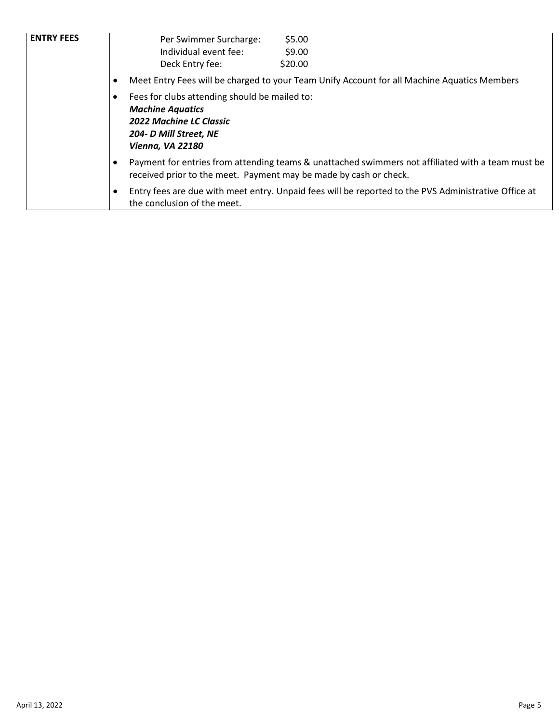| <b>ENTRY FEES</b> | \$5.00<br>Per Swimmer Surcharge:                                                                                                                                       |  |  |
|-------------------|------------------------------------------------------------------------------------------------------------------------------------------------------------------------|--|--|
|                   | Individual event fee:<br>\$9.00                                                                                                                                        |  |  |
|                   | Deck Entry fee:<br>\$20.00                                                                                                                                             |  |  |
|                   | Meet Entry Fees will be charged to your Team Unify Account for all Machine Aquatics Members                                                                            |  |  |
|                   | Fees for clubs attending should be mailed to:<br><b>Machine Aquatics</b><br><b>2022 Machine LC Classic</b><br>204- D Mill Street, NE<br><b>Vienna, VA 22180</b>        |  |  |
|                   | Payment for entries from attending teams & unattached swimmers not affiliated with a team must be<br>received prior to the meet. Payment may be made by cash or check. |  |  |
|                   | Entry fees are due with meet entry. Unpaid fees will be reported to the PVS Administrative Office at<br>the conclusion of the meet.                                    |  |  |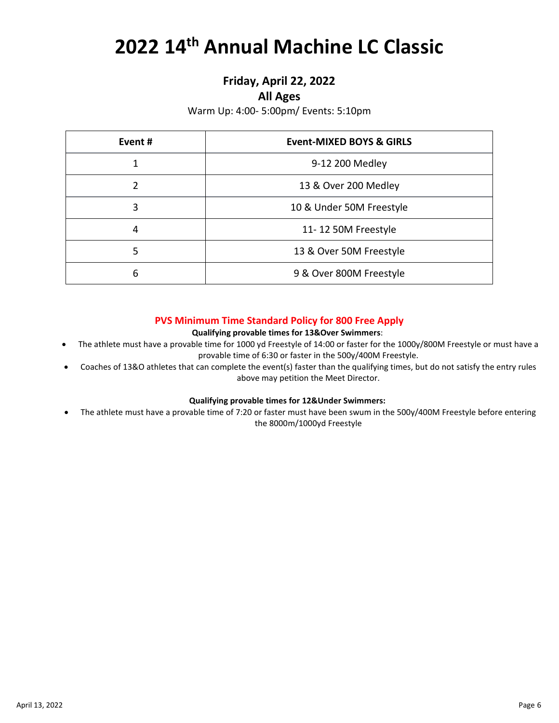## **2022 14th Annual Machine LC Classic**

#### **Friday, April 22, 2022**

#### **All Ages**

Warm Up: 4:00- 5:00pm/ Events: 5:10pm

| Event# | <b>Event-MIXED BOYS &amp; GIRLS</b> |
|--------|-------------------------------------|
|        | 9-12 200 Medley                     |
| 2      | 13 & Over 200 Medley                |
| 3      | 10 & Under 50M Freestyle            |
| 4      | 11-12 50M Freestyle                 |
| 5      | 13 & Over 50M Freestyle             |
| 6      | 9 & Over 800M Freestyle             |

#### **PVS Minimum Time Standard Policy for 800 Free Apply**

#### **Qualifying provable times for 13&Over Swimmers**:

- The athlete must have a provable time for 1000 yd Freestyle of 14:00 or faster for the 1000y/800M Freestyle or must have a provable time of 6:30 or faster in the 500y/400M Freestyle.
- Coaches of 13&O athletes that can complete the event(s) faster than the qualifying times, but do not satisfy the entry rules above may petition the Meet Director.

#### **Qualifying provable times for 12&Under Swimmers:**

• The athlete must have a provable time of 7:20 or faster must have been swum in the 500y/400M Freestyle before entering the 8000m/1000yd Freestyle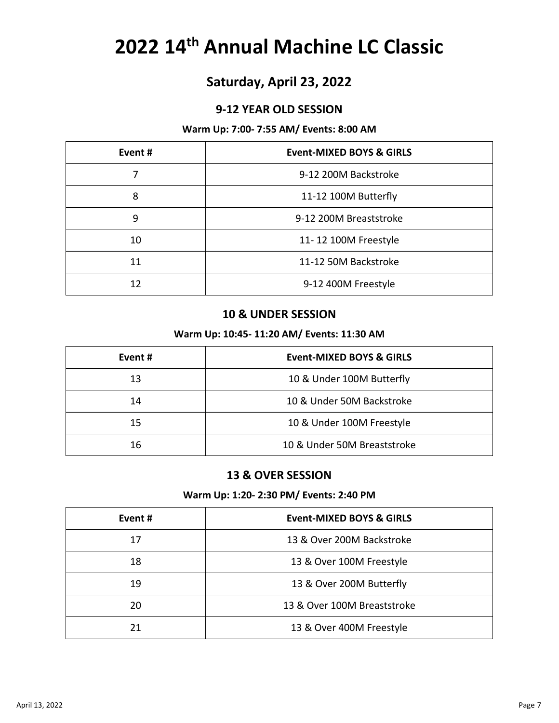## **14th Annual Machine LC Classic**

### **Saturday, April 23, 2022**

#### **9-12 YEAR OLD SESSION**

#### **Warm Up: 7:00- 7:55 AM/ Events: 8:00 AM**

| Event # | <b>Event-MIXED BOYS &amp; GIRLS</b> |
|---------|-------------------------------------|
|         | 9-12 200M Backstroke                |
| 8       | 11-12 100M Butterfly                |
| 9       | 9-12 200M Breaststroke              |
| 10      | 11-12 100M Freestyle                |
| 11      | 11-12 50M Backstroke                |
| 12      | 9-12 400M Freestyle                 |

#### **& UNDER SESSION**

#### **Warm Up: 10:45- 11:20 AM/ Events: 11:30 AM**

| Event # | <b>Event-MIXED BOYS &amp; GIRLS</b> |
|---------|-------------------------------------|
| 13      | 10 & Under 100M Butterfly           |
| 14      | 10 & Under 50M Backstroke           |
| 15      | 10 & Under 100M Freestyle           |
| 16      | 10 & Under 50M Breaststroke         |

#### **& OVER SESSION**

#### **Warm Up: 1:20- 2:30 PM/ Events: 2:40 PM**

| Event # | Event-MIXED BOYS & GIRLS    |
|---------|-----------------------------|
| 17      | 13 & Over 200M Backstroke   |
| 18      | 13 & Over 100M Freestyle    |
| 19      | 13 & Over 200M Butterfly    |
| 20      | 13 & Over 100M Breaststroke |
| 21      | 13 & Over 400M Freestyle    |